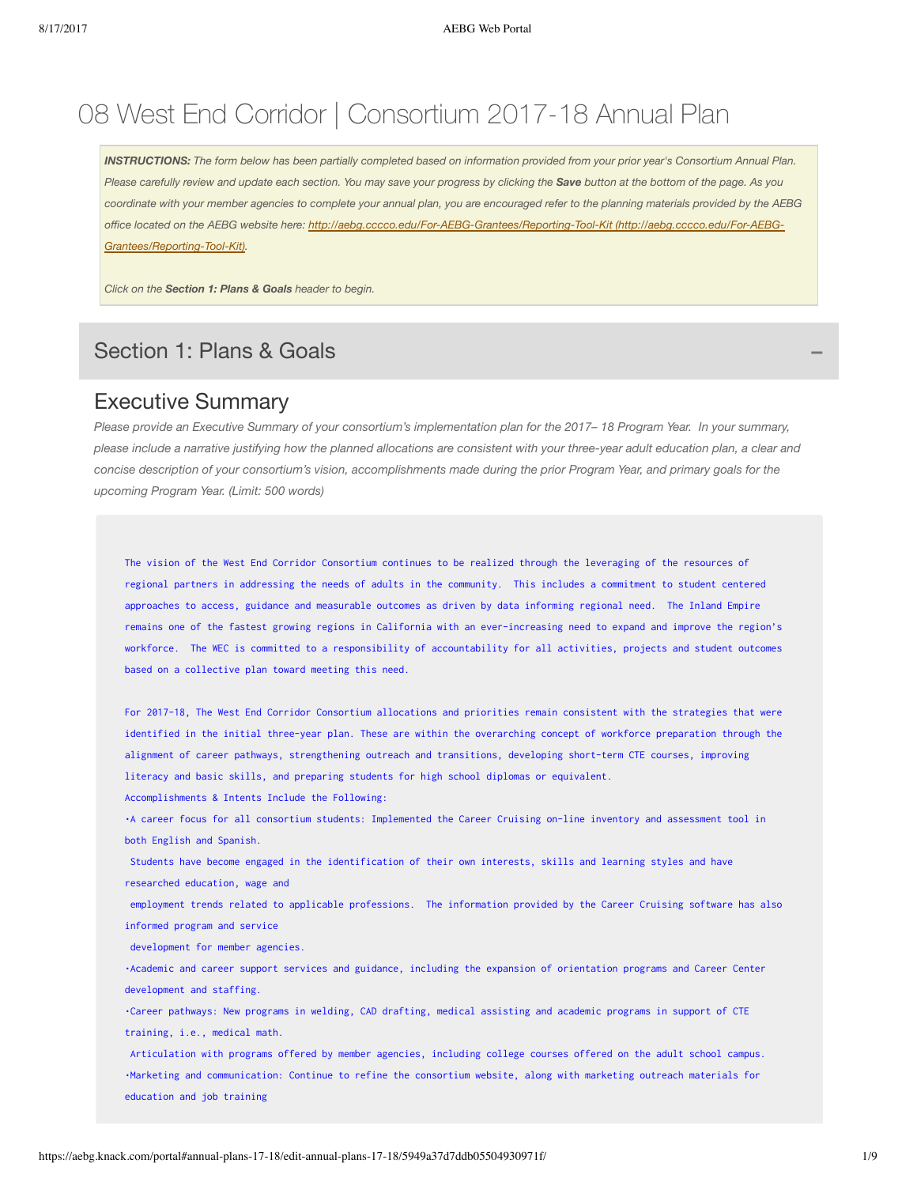# 08 West End Corridor | Consortium 2017-18 Annual Plan

INSTRUCTIONS: The form below has been partially completed based on information provided from your prior year's Consortium Annual Plan. Please carefully review and update each section. You may save your progress by clicking the Save button at the bottom of the page. As you coordinate with your member agencies to complete your annual plan, you are encouraged refer to the planning materials provided by the AEBG *office located on the AEBG website here: <http://aebg.cccco.edu/For-AEBG-Grantees/Reporting-Tool-Kit> (http://aebg.cccco.edu/For-AEBG-Grantees/Reporting-Tool-Kit).*

*Click on the Section 1: Plans & Goals header to begin.*

### Section 1: Plans & Goals **−**

#### Executive Summary

Please provide an Executive Summary of your consortium's implementation plan for the 2017-18 Program Year. In your summary, please include a narrative justifying how the planned allocations are consistent with your three-year adult education plan, a clear and concise description of your consortium's vision, accomplishments made during the prior Program Year, and primary goals for the *upcoming Program Year. (Limit: 500 words)*

The vision of the West End Corridor Consortium continues to be realized through the leveraging of the resources of regional partners in addressing the needs of adults in the community. This includes a commitment to student centered approaches to access, guidance and measurable outcomes as driven by data informing regional need. The Inland Empire remains one of the fastest growing regions in California with an ever-increasing need to expand and improve the region's workforce. The WEC is committed to a responsibility of accountability for all activities, projects and student outcomes based on a collective plan toward meeting this need.

For 2017-18, The West End Corridor Consortium allocations and priorities remain consistent with the strategies that were identified in the initial three-year plan. These are within the overarching concept of workforce preparation through the alignment of career pathways, strengthening outreach and transitions, developing short-term CTE courses, improving literacy and basic skills, and preparing students for high school diplomas or equivalent.

Accomplishments & Intents Include the Following:

•A career focus for all consortium students: Implemented the Career Cruising on-line inventory and assessment tool in both English and Spanish.

 Students have become engaged in the identification of their own interests, skills and learning styles and have researched education, wage and

 employment trends related to applicable professions. The information provided by the Career Cruising software has also informed program and service

development for member agencies.

•Academic and career support services and guidance, including the expansion of orientation programs and Career Center development and staffing.

•Career pathways: New programs in welding, CAD drafting, medical assisting and academic programs in support of CTE training, i.e., medical math.

 Articulation with programs offered by member agencies, including college courses offered on the adult school campus. •Marketing and communication: Continue to refine the consortium website, along with marketing outreach materials for education and job training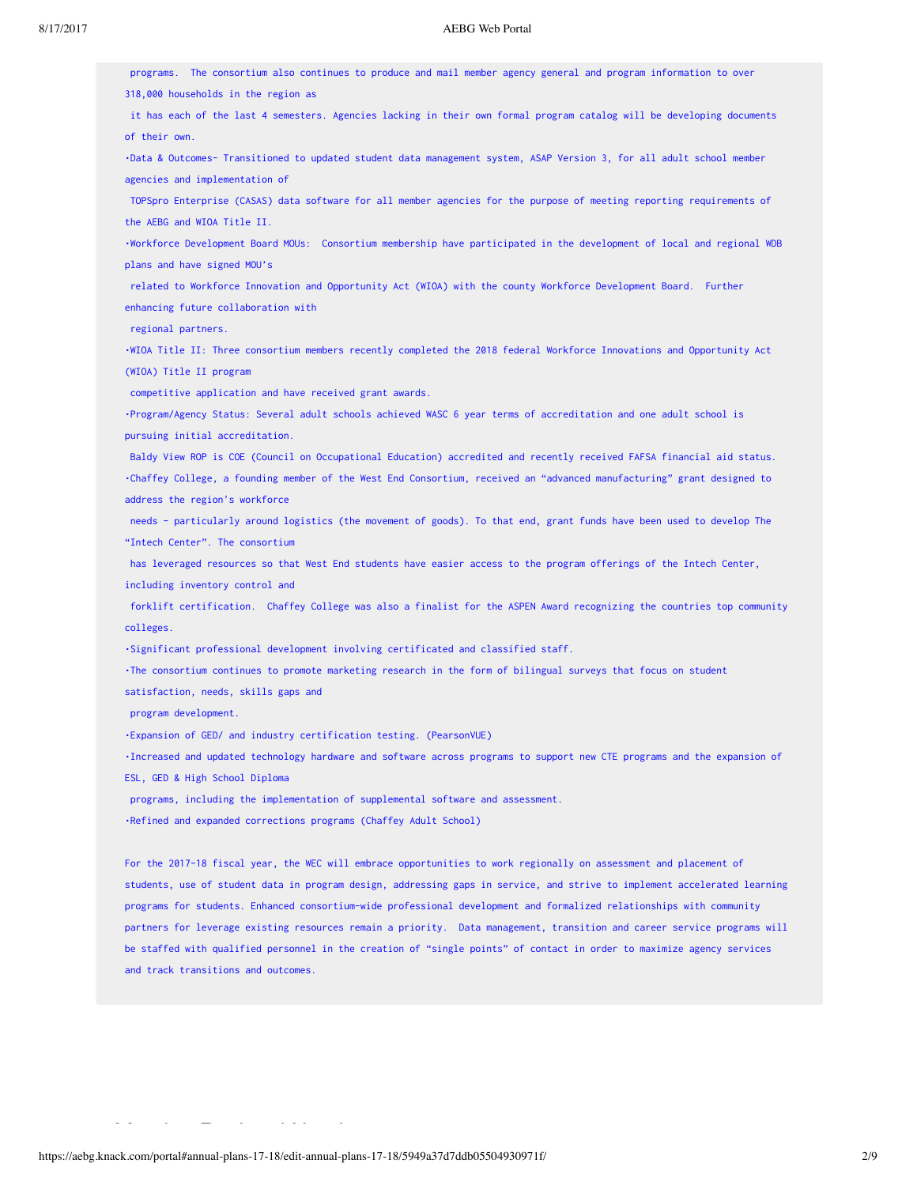#### 8/17/2017 AEBG Web Portal

 programs. The consortium also continues to produce and mail member agency general and program information to over 318,000 households in the region as it has each of the last 4 semesters. Agencies lacking in their own formal program catalog will be developing documents of their own. •Data & Outcomes- Transitioned to updated student data management system, ASAP Version 3, for all adult school member agencies and implementation of TOPSpro Enterprise (CASAS) data software for all member agencies for the purpose of meeting reporting requirements of

the AEBG and WIOA Title II.

•Workforce Development Board MOUs: Consortium membership have participated in the development of local and regional WDB plans and have signed MOU's

 related to Workforce Innovation and Opportunity Act (WIOA) with the county Workforce Development Board. Further enhancing future collaboration with

regional partners.

•WIOA Title II: Three consortium members recently completed the 2018 federal Workforce Innovations and Opportunity Act (WIOA) Title II program

competitive application and have received grant awards.

•Program/Agency Status: Several adult schools achieved WASC 6 year terms of accreditation and one adult school is pursuing initial accreditation.

 Baldy View ROP is COE (Council on Occupational Education) accredited and recently received FAFSA financial aid status. •Chaffey College, a founding member of the West End Consortium, received an "advanced manufacturing" grant designed to address the region's workforce

 needs - particularly around logistics (the movement of goods). To that end, grant funds have been used to develop The "Intech Center". The consortium

 has leveraged resources so that West End students have easier access to the program offerings of the Intech Center, including inventory control and

 forklift certification. Chaffey College was also a finalist for the ASPEN Award recognizing the countries top community colleges.

•Significant professional development involving certificated and classified staff.

•The consortium continues to promote marketing research in the form of bilingual surveys that focus on student

satisfaction, needs, skills gaps and

program development.

•Expansion of GED/ and industry certification testing. (PearsonVUE)

•Increased and updated technology hardware and software across programs to support new CTE programs and the expansion of ESL, GED & High School Diploma

programs, including the implementation of supplemental software and assessment.

•Refined and expanded corrections programs (Chaffey Adult School)

For the 2017-18 fiscal year, the WEC will embrace opportunities to work regionally on assessment and placement of students, use of student data in program design, addressing gaps in service, and strive to implement accelerated learning programs for students. Enhanced consortium-wide professional development and formalized relationships with community partners for leverage existing resources remain a priority. Data management, transition and career service programs will be staffed with qualified personnel in the creation of "single points" of contact in order to maximize agency services and track transitions and outcomes.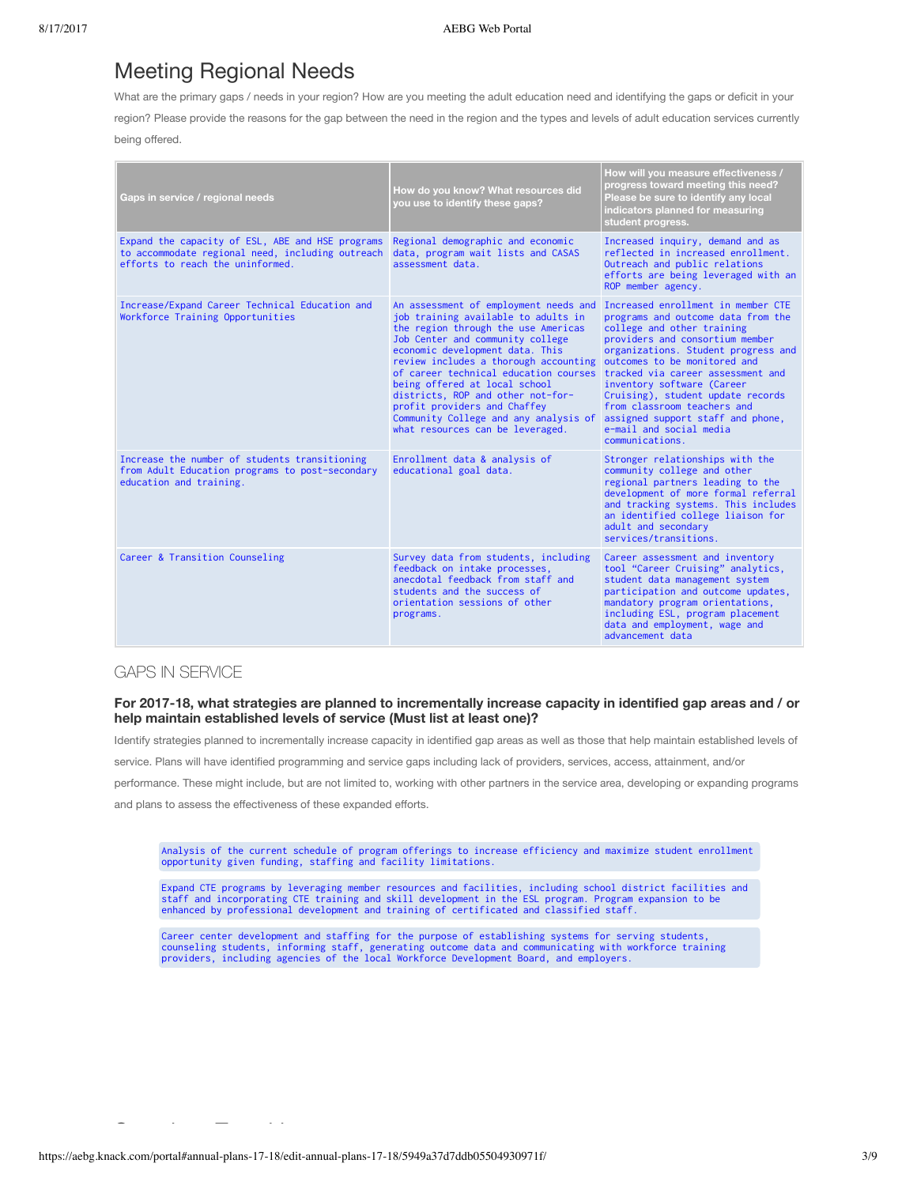### Meeting Regional Needs

What are the primary gaps / needs in your region? How are you meeting the adult education need and identifying the gaps or deficit in your

region? Please provide the reasons for the gap between the need in the region and the types and levels of adult education services currently

being offered.

| Gaps in service / regional needs                                                                                                         | How do you know? What resources did<br>you use to identify these gaps?                                                                                                                                                                                                                                                                                                                                                                                                                            | How will you measure effectiveness /<br>progress toward meeting this need?<br>Please be sure to identify any local<br>indicators planned for measuring<br>student progress.                                                                                                                                                                                                                           |
|------------------------------------------------------------------------------------------------------------------------------------------|---------------------------------------------------------------------------------------------------------------------------------------------------------------------------------------------------------------------------------------------------------------------------------------------------------------------------------------------------------------------------------------------------------------------------------------------------------------------------------------------------|-------------------------------------------------------------------------------------------------------------------------------------------------------------------------------------------------------------------------------------------------------------------------------------------------------------------------------------------------------------------------------------------------------|
| Expand the capacity of ESL, ABE and HSE programs<br>to accommodate regional need, including outreach<br>efforts to reach the uninformed. | Regional demographic and economic<br>data, program wait lists and CASAS<br>assessment data.                                                                                                                                                                                                                                                                                                                                                                                                       | Increased inquiry, demand and as<br>reflected in increased enrollment.<br>Outreach and public relations<br>efforts are being leveraged with an<br>ROP member agency.                                                                                                                                                                                                                                  |
| Increase/Expand Career Technical Education and<br>Workforce Training Opportunities                                                       | An assessment of employment needs and<br>job training available to adults in<br>the region through the use Americas<br>Job Center and community college<br>economic development data. This<br>review includes a thorough accounting<br>of career technical education courses tracked via career assessment and<br>being offered at local school<br>districts, ROP and other not-for-<br>profit providers and Chaffey<br>Community College and any analysis of<br>what resources can be leveraged. | Increased enrollment in member CTE<br>programs and outcome data from the<br>college and other training<br>providers and consortium member<br>organizations. Student progress and<br>outcomes to be monitored and<br>inventory software (Career<br>Cruising), student update records<br>from classroom teachers and<br>assigned support staff and phone,<br>e-mail and social media<br>communications. |
| Increase the number of students transitioning<br>from Adult Education programs to post-secondary<br>education and training.              | Enrollment data & analysis of<br>educational goal data.                                                                                                                                                                                                                                                                                                                                                                                                                                           | Stronger relationships with the<br>community college and other<br>regional partners leading to the<br>development of more formal referral<br>and tracking systems. This includes<br>an identified college liaison for<br>adult and secondary<br>services/transitions.                                                                                                                                 |
| Career & Transition Counseling                                                                                                           | Survey data from students, including<br>feedback on intake processes,<br>anecdotal feedback from staff and<br>students and the success of<br>orientation sessions of other<br>programs.                                                                                                                                                                                                                                                                                                           | Career assessment and inventory<br>tool "Career Cruising" analytics,<br>student data management system<br>participation and outcome updates,<br>mandatory program orientations,<br>including ESL, program placement<br>data and employment, wage and<br>advancement data                                                                                                                              |

#### GAPS IN SERVICE

#### For 2017-18, what strategies are planned to incrementally increase capacity in identified gap areas and / or **help maintain established levels of service (Must list at least one)?**

Identify strategies planned to incrementally increase capacity in identified gap areas as well as those that help maintain established levels of service. Plans will have identified programming and service gaps including lack of providers, services, access, attainment, and/or performance. These might include, but are not limited to, working with other partners in the service area, developing or expanding programs and plans to assess the effectiveness of these expanded efforts.

Analysis of the current schedule of program offerings to increase efficiency and maximize student enrollment opportunity given funding, staffing and facility limitations.

Expand CTE programs by leveraging member resources and facilities, including school district facilities and<br>staff and incorporating CTE training and skill development in the ESL program. Program expansion to be<br>enhanced by

Career center development and staffing for the purpose of establishing systems for serving students,<br>counseling students, informing staff, generating outcome data and communicating with workforce training<br>providers, includ

Seamless Transitions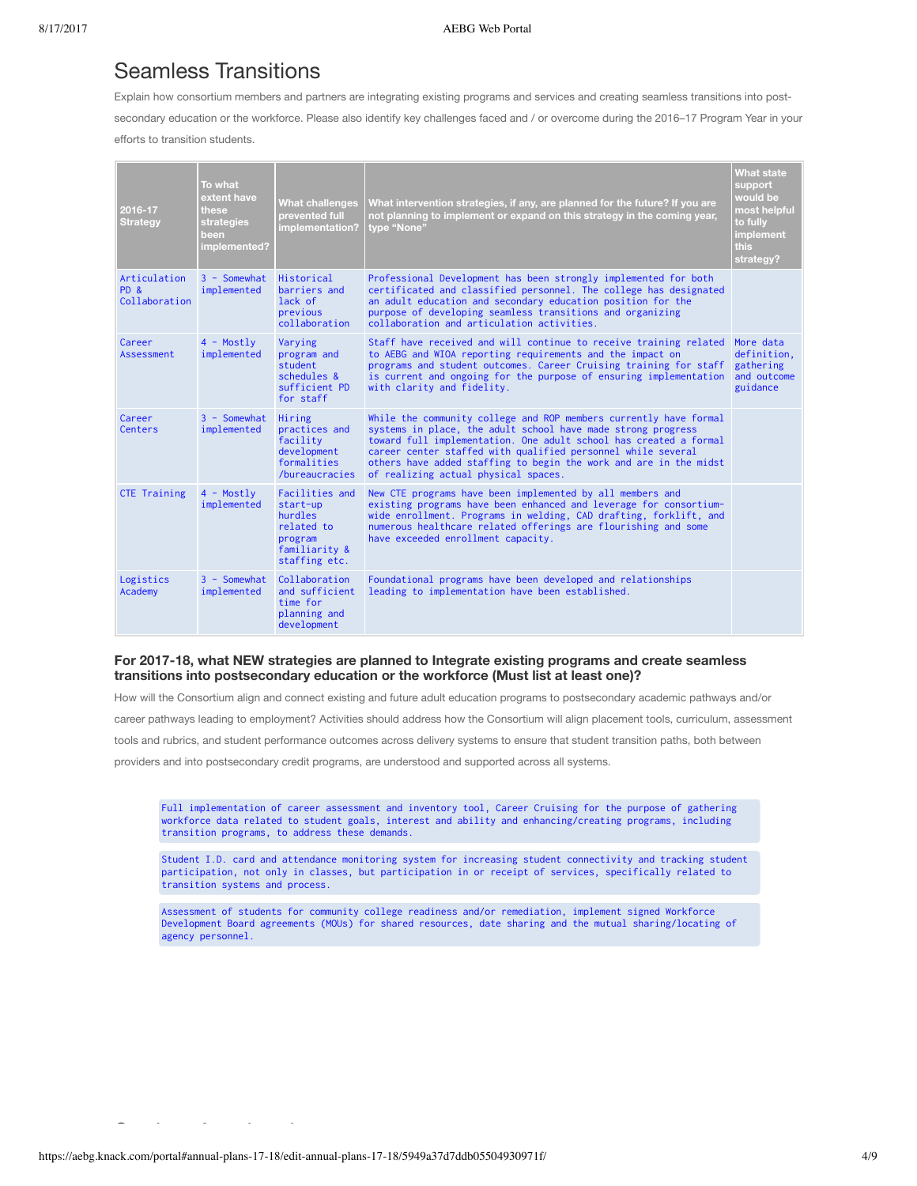### Seamless Transitions

Explain how consortium members and partners are integrating existing programs and services and creating seamless transitions into post-

secondary education or the workforce. Please also identify key challenges faced and / or overcome during the 2016–17 Program Year in your efforts to transition students.

| 2016-17<br><b>Strategy</b>                           | To what<br>extent have<br>these<br>strategies<br>been<br>implemented? | <b>What challenges</b><br>prevented full<br>implementation?                                      | What intervention strategies, if any, are planned for the future? If you are<br>not planning to implement or expand on this strategy in the coming year,<br>tvpe "None"                                                                                                                                                                                                             | <b>What state</b><br>support<br>would be<br>most helpful<br>to fully<br><b>implement</b><br>this<br>strategy? |
|------------------------------------------------------|-----------------------------------------------------------------------|--------------------------------------------------------------------------------------------------|-------------------------------------------------------------------------------------------------------------------------------------------------------------------------------------------------------------------------------------------------------------------------------------------------------------------------------------------------------------------------------------|---------------------------------------------------------------------------------------------------------------|
| Articulation<br>PD <sub>&amp;</sub><br>Collaboration | $3 -$ Somewhat<br>implemented                                         | Historical<br>barriers and<br>lack of<br>previous<br>collaboration                               | Professional Development has been strongly implemented for both<br>certificated and classified personnel. The college has designated<br>an adult education and secondary education position for the<br>purpose of developing seamless transitions and organizing<br>collaboration and articulation activities.                                                                      |                                                                                                               |
| Career<br>Assessment                                 | $4$ - Mostly<br>implemented                                           | Varying<br>program and<br>student<br>schedules &<br>sufficient PD<br>for staff                   | Staff have received and will continue to receive training related More data<br>to AEBG and WIOA reporting requirements and the impact on<br>programs and student outcomes. Career Cruising training for staff<br>is current and ongoing for the purpose of ensuring implementation<br>with clarity and fidelity.                                                                    | definition,<br>gathering<br>and outcome<br>guidance                                                           |
| Career<br>Centers                                    | $3 -$ Somewhat<br>implemented                                         | Hiring<br>practices and<br>facility<br>development<br>formalities<br>/bureaucracies              | While the community college and ROP members currently have formal<br>systems in place, the adult school have made strong progress<br>toward full implementation. One adult school has created a formal<br>career center staffed with qualified personnel while several<br>others have added staffing to begin the work and are in the midst<br>of realizing actual physical spaces. |                                                                                                               |
| <b>CTE Training</b>                                  | $4$ - Mostly<br>implemented                                           | Facilities and<br>start-up<br>hurdles<br>related to<br>program<br>familiarity &<br>staffing etc. | New CTE programs have been implemented by all members and<br>existing programs have been enhanced and leverage for consortium-<br>wide enrollment. Programs in welding, CAD drafting, forklift, and<br>numerous healthcare related offerings are flourishing and some<br>have exceeded enrollment capacity.                                                                         |                                                                                                               |
| Logistics<br>Academy                                 | $3 -$ Somewhat<br>implemented                                         | Collaboration<br>and sufficient<br>time for<br>planning and<br>development                       | Foundational programs have been developed and relationships<br>leading to implementation have been established.                                                                                                                                                                                                                                                                     |                                                                                                               |

#### **For 2017-18, what NEW strategies are planned to Integrate existing programs and create seamless transitions into postsecondary education or the workforce (Must list at least one)?**

How will the Consortium align and connect existing and future adult education programs to postsecondary academic pathways and/or

career pathways leading to employment? Activities should address how the Consortium will align placement tools, curriculum, assessment

tools and rubrics, and student performance outcomes across delivery systems to ensure that student transition paths, both between

providers and into postsecondary credit programs, are understood and supported across all systems.

Full implementation of career assessment and inventory tool, Career Cruising for the purpose of gathering workforce data related to student goals, interest and ability and enhancing/creating programs, including transition programs, to address these demands.

Student I.D. card and attendance monitoring system for increasing student connectivity and tracking student participation, not only in classes, but participation in or receipt of services, specifically related to transition systems and process.

Assessment of students for community college readiness and/or remediation, implement signed Workforce Development Board agreements (MOUs) for shared resources, date sharing and the mutual sharing/locating of agency personnel.

Student Acceleration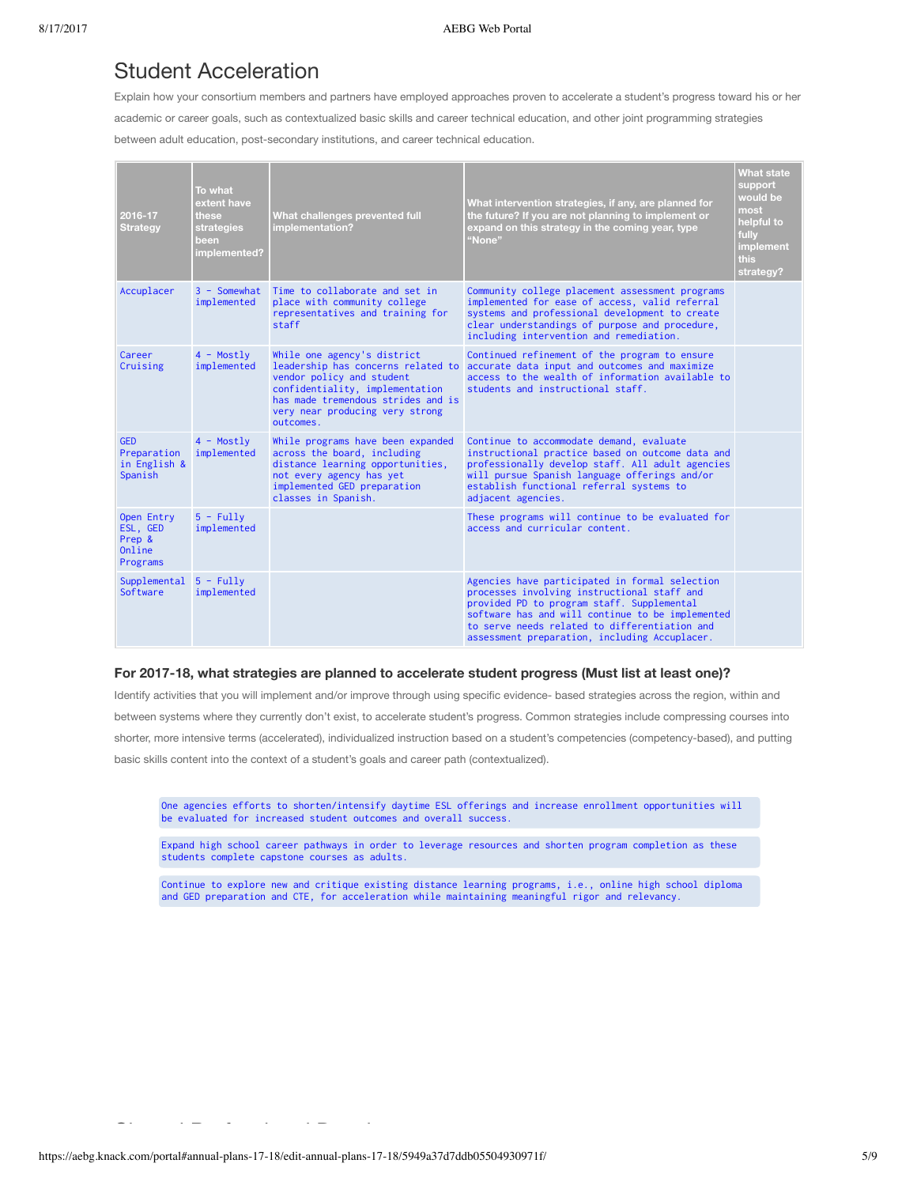### Student Acceleration

Explain how your consortium members and partners have employed approaches proven to accelerate a student's progress toward his or her academic or career goals, such as contextualized basic skills and career technical education, and other joint programming strategies between adult education, post-secondary institutions, and career technical education.

| 2016-17<br><b>Strategy</b>                             | To what<br>extent have<br>these<br>strategies<br>been<br>implemented? | What challenges prevented full<br>implementation?                                                                                                                                                                       | What intervention strategies, if any, are planned for<br>the future? If you are not planning to implement or<br>expand on this strategy in the coming year, type<br>"None"                                                                                                                        | <b>What state</b><br>support<br>would be<br>most<br>helpful to<br>fully<br>implement<br>this<br>strategy? |
|--------------------------------------------------------|-----------------------------------------------------------------------|-------------------------------------------------------------------------------------------------------------------------------------------------------------------------------------------------------------------------|---------------------------------------------------------------------------------------------------------------------------------------------------------------------------------------------------------------------------------------------------------------------------------------------------|-----------------------------------------------------------------------------------------------------------|
| Accuplacer                                             | $3 -$ Somewhat<br>implemented                                         | Time to collaborate and set in<br>place with community college<br>representatives and training for<br>staff                                                                                                             | Community college placement assessment programs<br>implemented for ease of access, valid referral<br>systems and professional development to create<br>clear understandings of purpose and procedure,<br>including intervention and remediation.                                                  |                                                                                                           |
| Career<br>Cruising                                     | $4$ - Mostly<br>implemented                                           | While one agency's district<br>leadership has concerns related to<br>vendor policy and student<br>confidentiality, implementation<br>has made tremendous strides and is<br>very near producing very strong<br>outcomes. | Continued refinement of the program to ensure<br>accurate data input and outcomes and maximize<br>access to the wealth of information available to<br>students and instructional staff.                                                                                                           |                                                                                                           |
| <b>GED</b><br>Preparation<br>in English &<br>Spanish   | $4$ - Mostly<br>implemented                                           | While programs have been expanded<br>across the board, including<br>distance learning opportunities,<br>not every agency has yet<br>implemented GED preparation<br>classes in Spanish.                                  | Continue to accommodate demand, evaluate<br>instructional practice based on outcome data and<br>professionally develop staff. All adult agencies<br>will pursue Spanish language offerings and/or<br>establish functional referral systems to<br>adjacent agencies.                               |                                                                                                           |
| Open Entry<br>ESL, GED<br>Prep &<br>Online<br>Programs | $5 - Fullv$<br>implemented                                            |                                                                                                                                                                                                                         | These programs will continue to be evaluated for<br>access and curricular content                                                                                                                                                                                                                 |                                                                                                           |
| Supplemental<br>Software                               | $5 - Fully$<br>implemented                                            |                                                                                                                                                                                                                         | Agencies have participated in formal selection<br>processes involving instructional staff and<br>provided PD to program staff. Supplemental<br>software has and will continue to be implemented<br>to serve needs related to differentiation and<br>assessment preparation, including Accuplacer. |                                                                                                           |

#### **For 2017-18, what strategies are planned to accelerate student progress (Must list at least one)?**

Identify activities that you will implement and/or improve through using specific evidence- based strategies across the region, within and between systems where they currently don't exist, to accelerate student's progress. Common strategies include compressing courses into shorter, more intensive terms (accelerated), individualized instruction based on a student's competencies (competency-based), and putting basic skills content into the context of a student's goals and career path (contextualized).

One agencies efforts to shorten/intensify daytime ESL offerings and increase enrollment opportunities will be evaluated for increased student outcomes and overall success.

Expand high school career pathways in order to leverage resources and shorten program completion as these students complete capstone courses as adults.

Continue to explore new and critique existing distance learning programs, i.e., online high school diploma and GED preparation and CTE, for acceleration while maintaining meaningful rigor and relevancy.

Shared Professional Development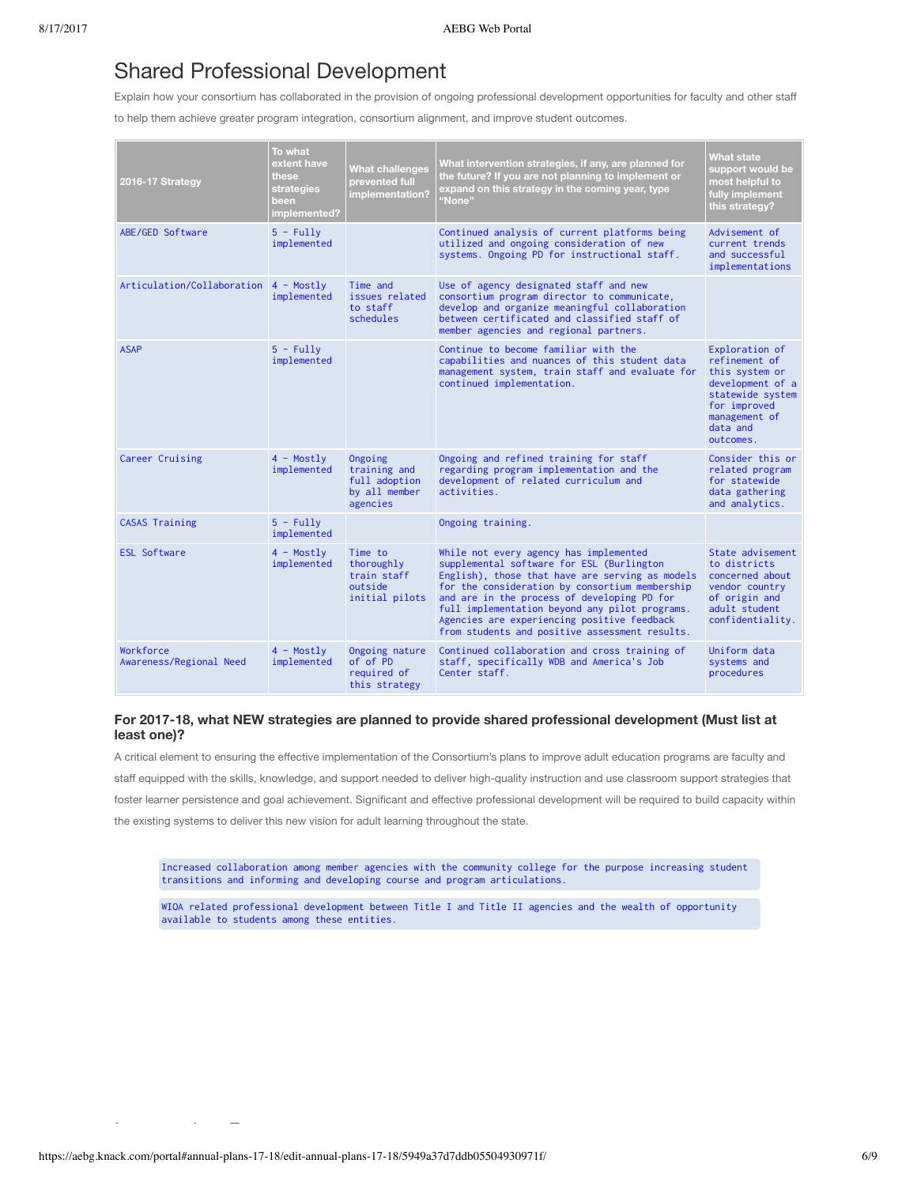### Shared Professional Development

Explain how your consortium has collaborated in the provision of ongoing professional development opportunities for faculty and other staff

to help them achieve greater program integration, consortium alignment, and improve student outcomes.

| 2016-17 Strategy                     | To what<br>extent have<br>these<br>strategies<br>been<br>implemented? | <b>What challenges</b><br>prevented full<br>implementation?           | What intervention strategies, if any, are planned for<br>the future? If you are not planning to implement or<br>expand on this strategy in the coming year, type<br>"None"                                                                                                                                                                                                                 | <b>What state</b><br>support would be<br>most helpful to<br>fully implement<br>this strategy?                                                       |
|--------------------------------------|-----------------------------------------------------------------------|-----------------------------------------------------------------------|--------------------------------------------------------------------------------------------------------------------------------------------------------------------------------------------------------------------------------------------------------------------------------------------------------------------------------------------------------------------------------------------|-----------------------------------------------------------------------------------------------------------------------------------------------------|
| ABE/GED Software                     | $5 - Fullv$<br>implemented                                            |                                                                       | Continued analysis of current platforms being<br>utilized and ongoing consideration of new<br>systems. Ongoing PD for instructional staff.                                                                                                                                                                                                                                                 | Advisement of<br>current trends<br>and successful<br>implementations                                                                                |
| Articulation/Collaboration           | $4 - Mostly$<br>implemented                                           | Time and<br>issues related<br>to staff<br>schedules                   | Use of agency designated staff and new<br>consortium program director to communicate,<br>develop and organize meaningful collaboration<br>between certificated and classified staff of<br>member agencies and regional partners.                                                                                                                                                           |                                                                                                                                                     |
| <b>ASAP</b>                          | $5 - Fullv$<br>implemented                                            |                                                                       | Continue to become familiar with the<br>capabilities and nuances of this student data<br>management system, train staff and evaluate for<br>continued implementation.                                                                                                                                                                                                                      | Exploration of<br>refinement of<br>this system or<br>development of a<br>statewide system<br>for improved<br>management of<br>data and<br>outcomes. |
| Career Cruising                      | $4$ - Mostly<br>implemented                                           | Ongoing<br>training and<br>full adoption<br>by all member<br>agencies | Ongoing and refined training for staff<br>regarding program implementation and the<br>development of related curriculum and<br>activities.                                                                                                                                                                                                                                                 | Consider this or<br>related program<br>for statewide<br>data gathering<br>and analytics.                                                            |
| <b>CASAS Training</b>                | $5 - Fullv$<br>implemented                                            |                                                                       | Ongoing training.                                                                                                                                                                                                                                                                                                                                                                          |                                                                                                                                                     |
| <b>ESL Software</b>                  | 4 - Mostly<br>implemented                                             | Time to<br>thoroughly<br>train staff<br>outside<br>initial pilots     | While not every agency has implemented<br>supplemental software for ESL (Burlington<br>English), those that have are serving as models<br>for the consideration by consortium membership<br>and are in the process of developing PD for<br>full implementation beyond any pilot programs.<br>Agencies are experiencing positive feedback<br>from students and positive assessment results. | State advisement<br>to districts<br>concerned about<br>vendor country<br>of origin and<br>adult student<br>confidentiality.                         |
| Workforce<br>Awareness/Regional Need | $4 - Mostly$<br>implemented                                           | Ongoing nature<br>of of PD<br>required of<br>this strategy            | Continued collaboration and cross training of<br>staff, specifically WDB and America's Job<br>Center staff.                                                                                                                                                                                                                                                                                | Uniform data<br>systems and<br>procedures                                                                                                           |

#### **For 2017-18, what NEW strategies are planned to provide shared professional development (Must list at least one)?**

A critical element to ensuring the effective implementation of the Consortium's plans to improve adult education programs are faculty and staff equipped with the skills, knowledge, and support needed to deliver high-quality instruction and use classroom support strategies that foster learner persistence and goal achievement. Significant and effective professional development will be required to build capacity within the existing systems to deliver this new vision for adult learning throughout the state.

Increased collaboration among member agencies with the community college for the purpose increasing student transitions and informing and developing course and program articulations.

WIOA related professional development between Title I and Title II agencies and the wealth of opportunity available to students among these entities.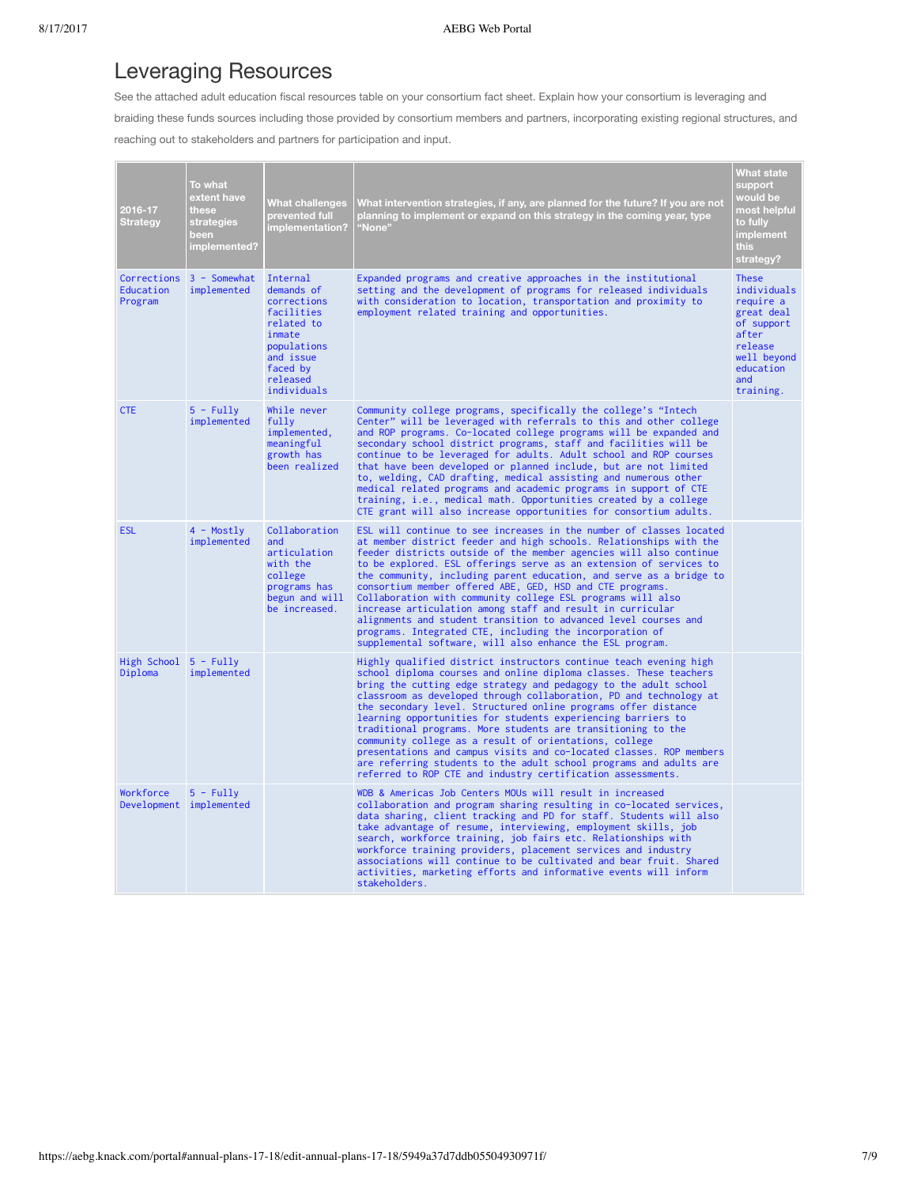## Leveraging Resources

See the attached adult education fiscal resources table on your consortium fact sheet. Explain how your consortium is leveraging and braiding these funds sources including those provided by consortium members and partners, incorporating existing regional structures, and reaching out to stakeholders and partners for participation and input.

| 2016-17<br>Strategy                  | To what<br>extent have<br>these<br>strategies<br>been<br>implemented? | What challenges<br>prevented full<br>implementation?                                                                                           | What intervention strategies, if any, are planned for the future? If you are not<br>planning to implement or expand on this strategy in the coming year, type<br>"None"                                                                                                                                                                                                                                                                                                                                                                                                                                                                                                                                                                                  | <b>What state</b><br>support<br>would be<br>most helpful<br>to fully<br><b>implement</b><br><b>this</b><br>strategy?                     |
|--------------------------------------|-----------------------------------------------------------------------|------------------------------------------------------------------------------------------------------------------------------------------------|----------------------------------------------------------------------------------------------------------------------------------------------------------------------------------------------------------------------------------------------------------------------------------------------------------------------------------------------------------------------------------------------------------------------------------------------------------------------------------------------------------------------------------------------------------------------------------------------------------------------------------------------------------------------------------------------------------------------------------------------------------|------------------------------------------------------------------------------------------------------------------------------------------|
| Education<br>Program                 | Corrections 3 - Somewhat<br>implemented                               | Internal<br>demands of<br>corrections<br>facilities<br>related to<br>inmate<br>populations<br>and issue<br>faced by<br>released<br>individuals | Expanded programs and creative approaches in the institutional<br>setting and the development of programs for released individuals<br>with consideration to location, transportation and proximity to<br>employment related training and opportunities.                                                                                                                                                                                                                                                                                                                                                                                                                                                                                                  | <b>These</b><br>individuals<br>require a<br>great deal<br>of support<br>after<br>release<br>well beyond<br>education<br>and<br>training. |
| <b>CTE</b>                           | $5 - Fullv$<br>implemented                                            | While never<br>fully<br>implemented,<br>meaningful<br>growth has<br>been realized                                                              | Community college programs, specifically the college's "Intech<br>Center" will be leveraged with referrals to this and other college<br>and ROP programs. Co-located college programs will be expanded and<br>secondary school district programs, staff and facilities will be<br>continue to be leveraged for adults. Adult school and ROP courses<br>that have been developed or planned include, but are not limited<br>to, welding, CAD drafting, medical assisting and numerous other<br>medical related programs and academic programs in support of CTE<br>training, i.e., medical math. Opportunities created by a college<br>CTE grant will also increase opportunities for consortium adults.                                                  |                                                                                                                                          |
| <b>ESL</b>                           | $4 - Mostly$<br>implemented                                           | Collaboration<br>and<br>articulation<br>with the<br>college<br>programs has<br>begun and will<br>be increased.                                 | ESL will continue to see increases in the number of classes located<br>at member district feeder and high schools. Relationships with the<br>feeder districts outside of the member agencies will also continue<br>to be explored. ESL offerings serve as an extension of services to<br>the community, including parent education, and serve as a bridge to<br>consortium member offered ABE, GED, HSD and CTE programs.<br>Collaboration with community college ESL programs will also<br>increase articulation among staff and result in curricular<br>alignments and student transition to advanced level courses and<br>programs. Integrated CTE, including the incorporation of<br>supplemental software, will also enhance the ESL program.       |                                                                                                                                          |
| High School 5 - Fully<br>Diploma     | implemented                                                           |                                                                                                                                                | Highly qualified district instructors continue teach evening high<br>school diploma courses and online diploma classes. These teachers<br>bring the cutting edge strategy and pedagogy to the adult school<br>classroom as developed through collaboration, PD and technology at<br>the secondary level. Structured online programs offer distance<br>learning opportunities for students experiencing barriers to<br>traditional programs. More students are transitioning to the<br>community college as a result of orientations, college<br>presentations and campus visits and co-located classes. ROP members<br>are referring students to the adult school programs and adults are<br>referred to ROP CTE and industry certification assessments. |                                                                                                                                          |
| Workforce<br>Development implemented | $5 - Fullv$                                                           |                                                                                                                                                | WDB & Americas Job Centers MOUs will result in increased<br>collaboration and program sharing resulting in co-located services,<br>data sharing, client tracking and PD for staff. Students will also<br>take advantage of resume, interviewing, employment skills, job<br>search, workforce training, job fairs etc. Relationships with<br>workforce training providers, placement services and industry<br>associations will continue to be cultivated and bear fruit. Shared<br>activities, marketing efforts and informative events will inform<br>stakeholders.                                                                                                                                                                                     |                                                                                                                                          |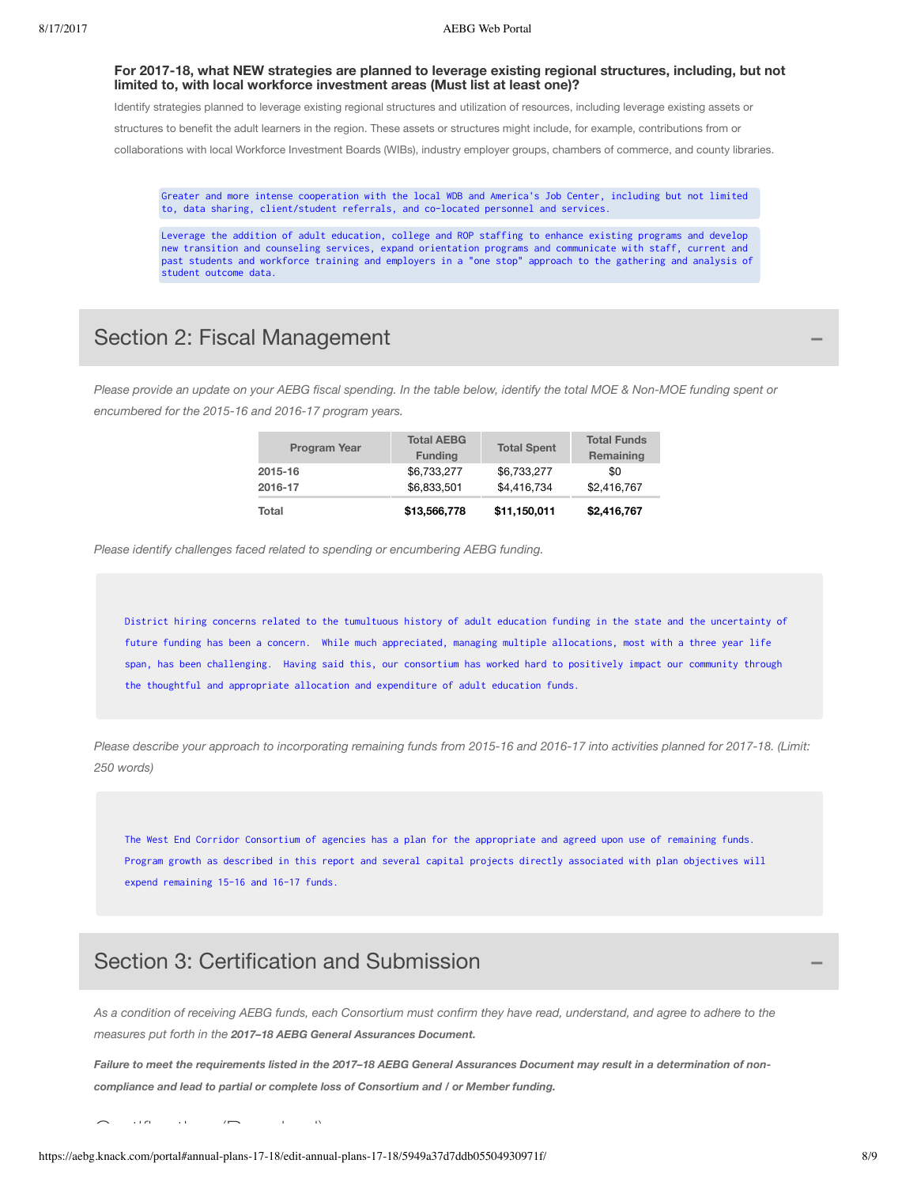#### **For 2017-18, what NEW strategies are planned to leverage existing regional structures, including, but not limited to, with local workforce investment areas (Must list at least one)?**

Identify strategies planned to leverage existing regional structures and utilization of resources, including leverage existing assets or structures to benefit the adult learners in the region. These assets or structures might include, for example, contributions from or collaborations with local Workforce Investment Boards (WIBs), industry employer groups, chambers of commerce, and county libraries.

Greater and more intense cooperation with the local WDB and America's Job Center, including but not limited to, data sharing, client/student referrals, and co-located personnel and services.

Leverage the addition of adult education, college and ROP staffing to enhance existing programs and develop new transition and counseling services, expand orientation programs and communicate with staff, current and past students and workforce training and employers in a "one stop" approach to the gathering and analysis of student outcome data.

### Section 2: Fiscal Management **−**

Please provide an update on your AEBG fiscal spending. In the table below, identify the total MOE & Non-MOE funding spent or *encumbered for the 2015-16 and 2016-17 program years.*

| Total               | \$13,566,778                        | \$11,150,011       | \$2,416,767                     |
|---------------------|-------------------------------------|--------------------|---------------------------------|
| 2016-17             | \$6.833.501                         | \$4,416,734        | \$2,416,767                     |
| 2015-16             | \$6,733,277                         | \$6,733,277        | \$0                             |
| <b>Program Year</b> | <b>Total AEBG</b><br><b>Funding</b> | <b>Total Spent</b> | <b>Total Funds</b><br>Remaining |

*Please identify challenges faced related to spending or encumbering AEBG funding.*

District hiring concerns related to the tumultuous history of adult education funding in the state and the uncertainty of future funding has been a concern. While much appreciated, managing multiple allocations, most with a three year life span, has been challenging. Having said this, our consortium has worked hard to positively impact our community through the thoughtful and appropriate allocation and expenditure of adult education funds.

Please describe your approach to incorporating remaining funds from 2015-16 and 2016-17 into activities planned for 2017-18. (Limit: *250 words)*

The West End Corridor Consortium of agencies has a plan for the appropriate and agreed upon use of remaining funds. Program growth as described in this report and several capital projects directly associated with plan objectives will expend remaining 15-16 and 16-17 funds.

### Section 3: Certification and Submission **−**

As a condition of receiving AEBG funds, each Consortium must confirm they have read, understand, and agree to adhere to the *measures put forth in the 2017–18 AEBG General Assurances Document.*

Failure to meet the requirements listed in the 2017-18 AEBG General Assurances Document may result in a determination of non*compliance and lead to partial or complete loss of Consortium and / or Member funding.*

 $\sum_{i=1}^{\infty}$  and  $\sum_{i=1}^{\infty}$  and  $\sum_{i=1}^{\infty}$  (Required)